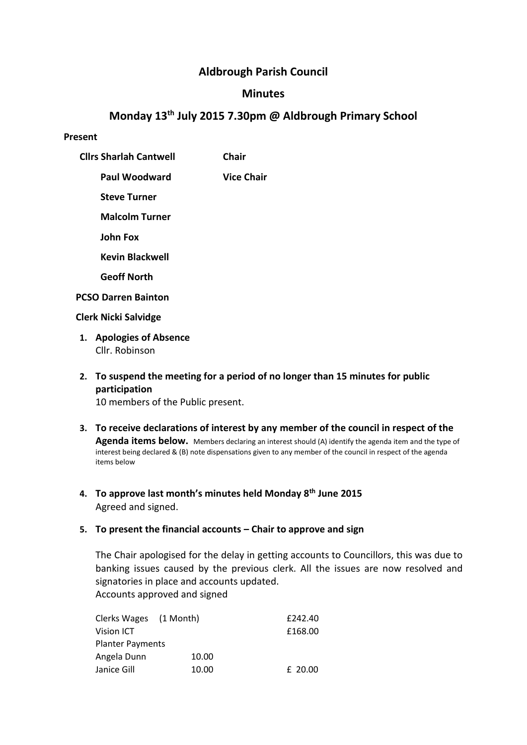# **Aldbrough Parish Council**

## **Minutes**

# **Monday 13th July 2015 7.30pm @ Aldbrough Primary School**

#### **Present**

- **Cllrs Sharlah Cantwell Chair**
	- **Paul Woodward Vice Chair**
		- **Steve Turner**
		- **Malcolm Turner**
		- **John Fox**
		- **Kevin Blackwell**
		- **Geoff North**
- **PCSO Darren Bainton**

## **Clerk Nicki Salvidge**

- **1. Apologies of Absence** Cllr. Robinson
- **2. To suspend the meeting for a period of no longer than 15 minutes for public participation**

10 members of the Public present.

- **3. To receive declarations of interest by any member of the council in respect of the Agenda items below.** Members declaring an interest should (A) identify the agenda item and the type of interest being declared & (B) note dispensations given to any member of the council in respect of the agenda items below
- **4. To approve last month's minutes held Monday 8th June 2015** Agreed and signed.

## **5. To present the financial accounts – Chair to approve and sign**

The Chair apologised for the delay in getting accounts to Councillors, this was due to banking issues caused by the previous clerk. All the issues are now resolved and signatories in place and accounts updated. Accounts approved and signed

| Clerks Wages (1 Month)  |       | £242.40 |
|-------------------------|-------|---------|
| Vision ICT              |       | £168.00 |
| <b>Planter Payments</b> |       |         |
| Angela Dunn             | 10.00 |         |
| Janice Gill             | 10.00 | £ 20.00 |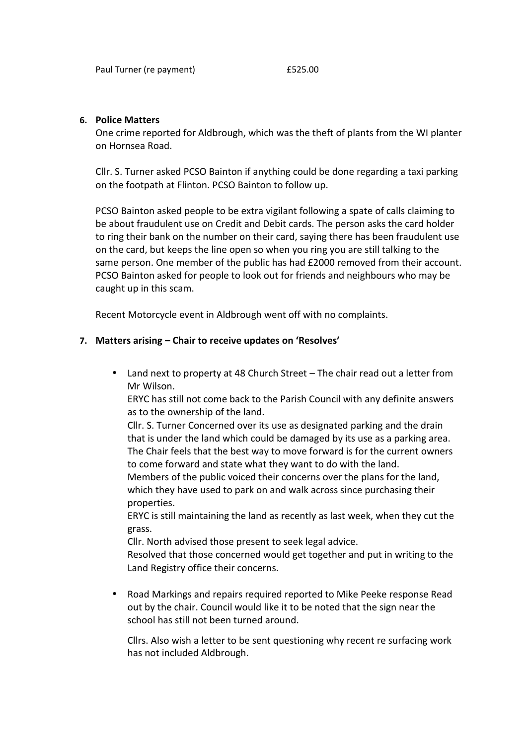#### **6. Police Matters**

One crime reported for Aldbrough, which was the theft of plants from the WI planter on Hornsea Road.

Cllr. S. Turner asked PCSO Bainton if anything could be done regarding a taxi parking on the footpath at Flinton. PCSO Bainton to follow up.

PCSO Bainton asked people to be extra vigilant following a spate of calls claiming to be about fraudulent use on Credit and Debit cards. The person asks the card holder to ring their bank on the number on their card, saying there has been fraudulent use on the card, but keeps the line open so when you ring you are still talking to the same person. One member of the public has had £2000 removed from their account. PCSO Bainton asked for people to look out for friends and neighbours who may be caught up in this scam.

Recent Motorcycle event in Aldbrough went off with no complaints.

## **7. Matters arising – Chair to receive updates on 'Resolves'**

 Land next to property at 48 Church Street – The chair read out a letter from Mr Wilson.

ERYC has still not come back to the Parish Council with any definite answers as to the ownership of the land.

Cllr. S. Turner Concerned over its use as designated parking and the drain that is under the land which could be damaged by its use as a parking area. The Chair feels that the best way to move forward is for the current owners to come forward and state what they want to do with the land.

Members of the public voiced their concerns over the plans for the land, which they have used to park on and walk across since purchasing their properties.

ERYC is still maintaining the land as recently as last week, when they cut the grass.

Cllr. North advised those present to seek legal advice.

Resolved that those concerned would get together and put in writing to the Land Registry office their concerns.

 Road Markings and repairs required reported to Mike Peeke response Read out by the chair. Council would like it to be noted that the sign near the school has still not been turned around.

Cllrs. Also wish a letter to be sent questioning why recent re surfacing work has not included Aldbrough.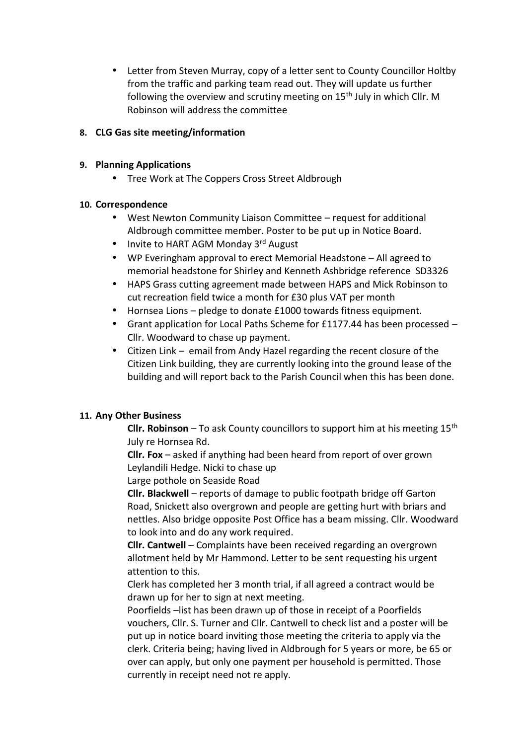Letter from Steven Murray, copy of a letter sent to County Councillor Holtby from the traffic and parking team read out. They will update us further following the overview and scrutiny meeting on 15<sup>th</sup> July in which Cllr. M Robinson will address the committee

## **8. CLG Gas site meeting/information**

#### **9. Planning Applications**

• Tree Work at The Coppers Cross Street Aldbrough

## **10. Correspondence**

- West Newton Community Liaison Committee request for additional Aldbrough committee member. Poster to be put up in Notice Board.
- $\bullet$  Invite to HART AGM Monday 3<sup>rd</sup> August
- WP Everingham approval to erect Memorial Headstone All agreed to memorial headstone for Shirley and Kenneth Ashbridge reference SD3326
- HAPS Grass cutting agreement made between HAPS and Mick Robinson to cut recreation field twice a month for £30 plus VAT per month
- Hornsea Lions pledge to donate £1000 towards fitness equipment.
- Grant application for Local Paths Scheme for £1177.44 has been processed Cllr. Woodward to chase up payment.
- Citizen Link email from Andy Hazel regarding the recent closure of the Citizen Link building, they are currently looking into the ground lease of the building and will report back to the Parish Council when this has been done.

## **11. Any Other Business**

**Cllr. Robinson** – To ask County councillors to support him at his meeting  $15<sup>th</sup>$ July re Hornsea Rd.

**Cllr. Fox** – asked if anything had been heard from report of over grown Leylandili Hedge. Nicki to chase up

Large pothole on Seaside Road

**Cllr. Blackwell** – reports of damage to public footpath bridge off Garton Road, Snickett also overgrown and people are getting hurt with briars and nettles. Also bridge opposite Post Office has a beam missing. Cllr. Woodward to look into and do any work required.

**Cllr. Cantwell** – Complaints have been received regarding an overgrown allotment held by Mr Hammond. Letter to be sent requesting his urgent attention to this.

Clerk has completed her 3 month trial, if all agreed a contract would be drawn up for her to sign at next meeting.

Poorfields –list has been drawn up of those in receipt of a Poorfields vouchers, Cllr. S. Turner and Cllr. Cantwell to check list and a poster will be put up in notice board inviting those meeting the criteria to apply via the clerk. Criteria being; having lived in Aldbrough for 5 years or more, be 65 or over can apply, but only one payment per household is permitted. Those currently in receipt need not re apply.